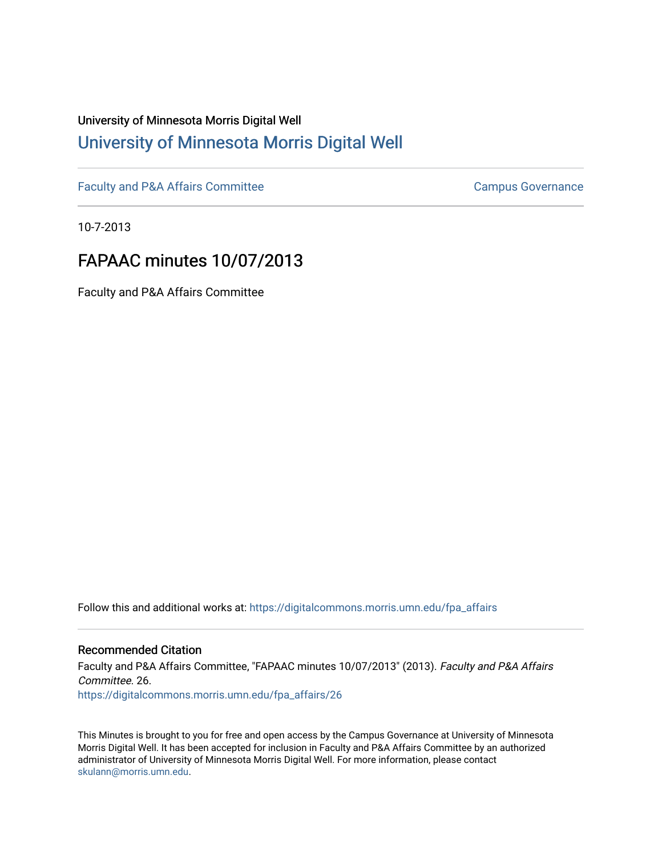# University of Minnesota Morris Digital Well [University of Minnesota Morris Digital Well](https://digitalcommons.morris.umn.edu/)

[Faculty and P&A Affairs Committee](https://digitalcommons.morris.umn.edu/fpa_affairs) [Campus Governance](https://digitalcommons.morris.umn.edu/campgov) Campus Governance

10-7-2013

# FAPAAC minutes 10/07/2013

Faculty and P&A Affairs Committee

Follow this and additional works at: [https://digitalcommons.morris.umn.edu/fpa\\_affairs](https://digitalcommons.morris.umn.edu/fpa_affairs?utm_source=digitalcommons.morris.umn.edu%2Ffpa_affairs%2F26&utm_medium=PDF&utm_campaign=PDFCoverPages)

#### Recommended Citation

Faculty and P&A Affairs Committee, "FAPAAC minutes 10/07/2013" (2013). Faculty and P&A Affairs Committee. 26. [https://digitalcommons.morris.umn.edu/fpa\\_affairs/26](https://digitalcommons.morris.umn.edu/fpa_affairs/26?utm_source=digitalcommons.morris.umn.edu%2Ffpa_affairs%2F26&utm_medium=PDF&utm_campaign=PDFCoverPages) 

This Minutes is brought to you for free and open access by the Campus Governance at University of Minnesota Morris Digital Well. It has been accepted for inclusion in Faculty and P&A Affairs Committee by an authorized administrator of University of Minnesota Morris Digital Well. For more information, please contact [skulann@morris.umn.edu.](mailto:skulann@morris.umn.edu)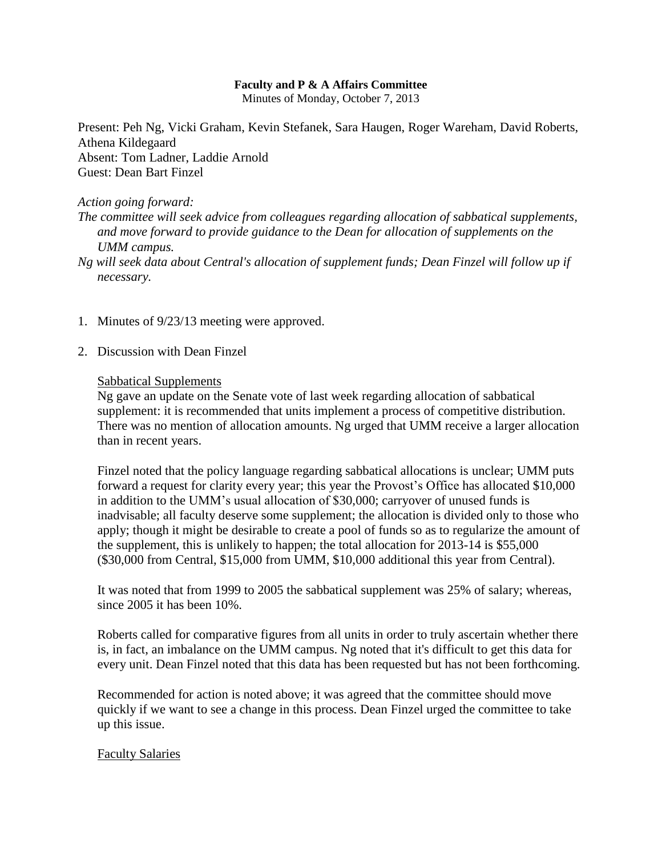#### **Faculty and P & A Affairs Committee**

Minutes of Monday, October 7, 2013

Present: Peh Ng, Vicki Graham, Kevin Stefanek, Sara Haugen, Roger Wareham, David Roberts, Athena Kildegaard Absent: Tom Ladner, Laddie Arnold Guest: Dean Bart Finzel

#### *Action going forward:*

*The committee will seek advice from colleagues regarding allocation of sabbatical supplements, and move forward to provide guidance to the Dean for allocation of supplements on the UMM campus.*

*Ng will seek data about Central's allocation of supplement funds; Dean Finzel will follow up if necessary.*

- 1. Minutes of 9/23/13 meeting were approved.
- 2. Discussion with Dean Finzel

#### Sabbatical Supplements

Ng gave an update on the Senate vote of last week regarding allocation of sabbatical supplement: it is recommended that units implement a process of competitive distribution. There was no mention of allocation amounts. Ng urged that UMM receive a larger allocation than in recent years.

Finzel noted that the policy language regarding sabbatical allocations is unclear; UMM puts forward a request for clarity every year; this year the Provost's Office has allocated \$10,000 in addition to the UMM's usual allocation of \$30,000; carryover of unused funds is inadvisable; all faculty deserve some supplement; the allocation is divided only to those who apply; though it might be desirable to create a pool of funds so as to regularize the amount of the supplement, this is unlikely to happen; the total allocation for 2013-14 is \$55,000 (\$30,000 from Central, \$15,000 from UMM, \$10,000 additional this year from Central).

It was noted that from 1999 to 2005 the sabbatical supplement was 25% of salary; whereas, since 2005 it has been 10%.

Roberts called for comparative figures from all units in order to truly ascertain whether there is, in fact, an imbalance on the UMM campus. Ng noted that it's difficult to get this data for every unit. Dean Finzel noted that this data has been requested but has not been forthcoming.

Recommended for action is noted above; it was agreed that the committee should move quickly if we want to see a change in this process. Dean Finzel urged the committee to take up this issue.

#### Faculty Salaries